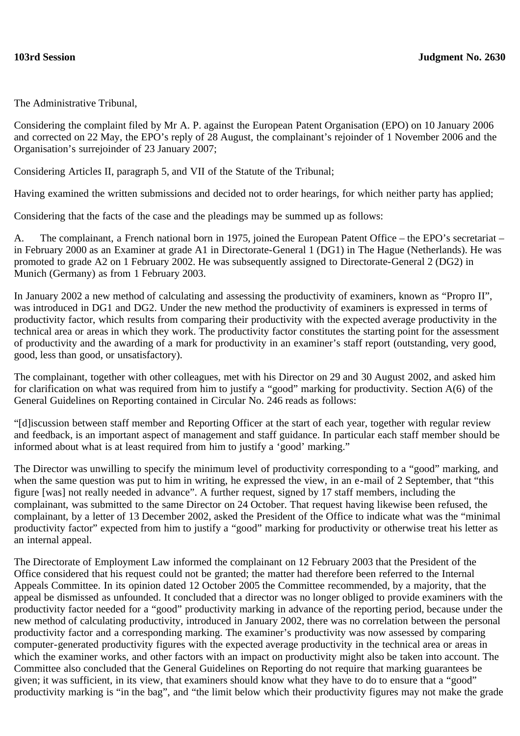The Administrative Tribunal,

Considering the complaint filed by Mr A. P. against the European Patent Organisation (EPO) on 10 January 2006 and corrected on 22 May, the EPO's reply of 28 August, the complainant's rejoinder of 1 November 2006 and the Organisation's surrejoinder of 23 January 2007;

Considering Articles II, paragraph 5, and VII of the Statute of the Tribunal;

Having examined the written submissions and decided not to order hearings, for which neither party has applied;

Considering that the facts of the case and the pleadings may be summed up as follows:

A. The complainant, a French national born in 1975, joined the European Patent Office – the EPO's secretariat – in February 2000 as an Examiner at grade A1 in Directorate-General 1 (DG1) in The Hague (Netherlands). He was promoted to grade A2 on 1 February 2002. He was subsequently assigned to Directorate-General 2 (DG2) in Munich (Germany) as from 1 February 2003.

In January 2002 a new method of calculating and assessing the productivity of examiners, known as "Propro II", was introduced in DG1 and DG2. Under the new method the productivity of examiners is expressed in terms of productivity factor, which results from comparing their productivity with the expected average productivity in the technical area or areas in which they work. The productivity factor constitutes the starting point for the assessment of productivity and the awarding of a mark for productivity in an examiner's staff report (outstanding, very good, good, less than good, or unsatisfactory).

The complainant, together with other colleagues, met with his Director on 29 and 30 August 2002, and asked him for clarification on what was required from him to justify a "good" marking for productivity. Section A(6) of the General Guidelines on Reporting contained in Circular No. 246 reads as follows:

"[d]iscussion between staff member and Reporting Officer at the start of each year, together with regular review and feedback, is an important aspect of management and staff guidance. In particular each staff member should be informed about what is at least required from him to justify a 'good' marking."

The Director was unwilling to specify the minimum level of productivity corresponding to a "good" marking, and when the same question was put to him in writing, he expressed the view, in an e-mail of 2 September, that "this figure [was] not really needed in advance". A further request, signed by 17 staff members, including the complainant, was submitted to the same Director on 24 October. That request having likewise been refused, the complainant, by a letter of 13 December 2002, asked the President of the Office to indicate what was the "minimal productivity factor" expected from him to justify a "good" marking for productivity or otherwise treat his letter as an internal appeal.

The Directorate of Employment Law informed the complainant on 12 February 2003 that the President of the Office considered that his request could not be granted; the matter had therefore been referred to the Internal Appeals Committee. In its opinion dated 12 October 2005 the Committee recommended, by a majority, that the appeal be dismissed as unfounded. It concluded that a director was no longer obliged to provide examiners with the productivity factor needed for a "good" productivity marking in advance of the reporting period, because under the new method of calculating productivity, introduced in January 2002, there was no correlation between the personal productivity factor and a corresponding marking. The examiner's productivity was now assessed by comparing computer-generated productivity figures with the expected average productivity in the technical area or areas in which the examiner works, and other factors with an impact on productivity might also be taken into account. The Committee also concluded that the General Guidelines on Reporting do not require that marking guarantees be given; it was sufficient, in its view, that examiners should know what they have to do to ensure that a "good" productivity marking is "in the bag", and "the limit below which their productivity figures may not make the grade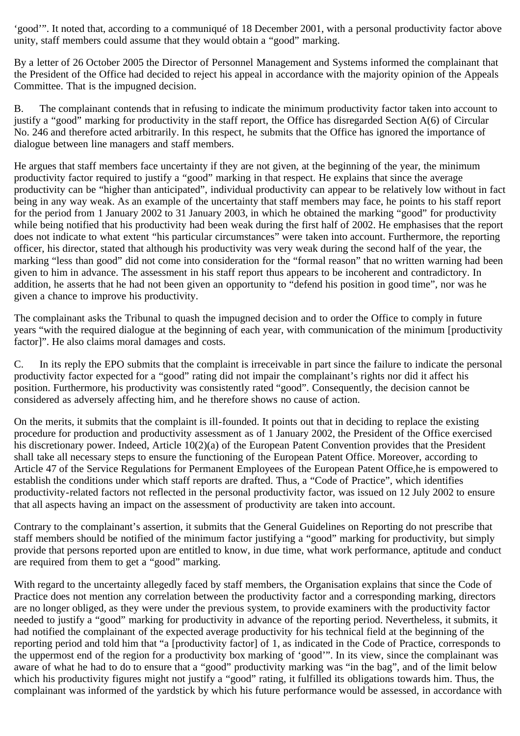'good'". It noted that, according to a communiqué of 18 December 2001, with a personal productivity factor above unity, staff members could assume that they would obtain a "good" marking.

By a letter of 26 October 2005 the Director of Personnel Management and Systems informed the complainant that the President of the Office had decided to reject his appeal in accordance with the majority opinion of the Appeals Committee. That is the impugned decision.

B. The complainant contends that in refusing to indicate the minimum productivity factor taken into account to justify a "good" marking for productivity in the staff report, the Office has disregarded Section A(6) of Circular No. 246 and therefore acted arbitrarily. In this respect, he submits that the Office has ignored the importance of dialogue between line managers and staff members.

He argues that staff members face uncertainty if they are not given, at the beginning of the year, the minimum productivity factor required to justify a "good" marking in that respect. He explains that since the average productivity can be "higher than anticipated", individual productivity can appear to be relatively low without in fact being in any way weak. As an example of the uncertainty that staff members may face, he points to his staff report for the period from 1 January 2002 to 31 January 2003, in which he obtained the marking "good" for productivity while being notified that his productivity had been weak during the first half of 2002. He emphasises that the report does not indicate to what extent "his particular circumstances" were taken into account. Furthermore, the reporting officer, his director, stated that although his productivity was very weak during the second half of the year, the marking "less than good" did not come into consideration for the "formal reason" that no written warning had been given to him in advance. The assessment in his staff report thus appears to be incoherent and contradictory. In addition, he asserts that he had not been given an opportunity to "defend his position in good time", nor was he given a chance to improve his productivity.

The complainant asks the Tribunal to quash the impugned decision and to order the Office to comply in future years "with the required dialogue at the beginning of each year, with communication of the minimum [productivity factor]". He also claims moral damages and costs.

C. In its reply the EPO submits that the complaint is irreceivable in part since the failure to indicate the personal productivity factor expected for a "good" rating did not impair the complainant's rights nor did it affect his position. Furthermore, his productivity was consistently rated "good". Consequently, the decision cannot be considered as adversely affecting him, and he therefore shows no cause of action.

On the merits, it submits that the complaint is ill-founded. It points out that in deciding to replace the existing procedure for production and productivity assessment as of 1 January 2002, the President of the Office exercised his discretionary power. Indeed, Article 10(2)(a) of the European Patent Convention provides that the President shall take all necessary steps to ensure the functioning of the European Patent Office. Moreover, according to Article 47 of the Service Regulations for Permanent Employees of the European Patent Office,he is empowered to establish the conditions under which staff reports are drafted. Thus, a "Code of Practice", which identifies productivity-related factors not reflected in the personal productivity factor, was issued on 12 July 2002 to ensure that all aspects having an impact on the assessment of productivity are taken into account.

Contrary to the complainant's assertion, it submits that the General Guidelines on Reporting do not prescribe that staff members should be notified of the minimum factor justifying a "good" marking for productivity, but simply provide that persons reported upon are entitled to know, in due time, what work performance, aptitude and conduct are required from them to get a "good" marking.

With regard to the uncertainty allegedly faced by staff members, the Organisation explains that since the Code of Practice does not mention any correlation between the productivity factor and a corresponding marking, directors are no longer obliged, as they were under the previous system, to provide examiners with the productivity factor needed to justify a "good" marking for productivity in advance of the reporting period. Nevertheless, it submits, it had notified the complainant of the expected average productivity for his technical field at the beginning of the reporting period and told him that "a [productivity factor] of 1, as indicated in the Code of Practice, corresponds to the uppermost end of the region for a productivity box marking of 'good'". In its view, since the complainant was aware of what he had to do to ensure that a "good" productivity marking was "in the bag", and of the limit below which his productivity figures might not justify a "good" rating, it fulfilled its obligations towards him. Thus, the complainant was informed of the yardstick by which his future performance would be assessed, in accordance with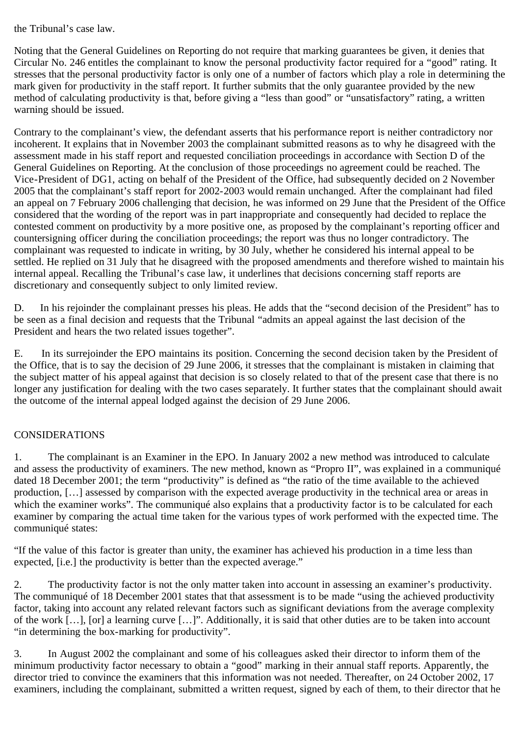## the Tribunal's case law.

Noting that the General Guidelines on Reporting do not require that marking guarantees be given, it denies that Circular No. 246 entitles the complainant to know the personal productivity factor required for a "good" rating. It stresses that the personal productivity factor is only one of a number of factors which play a role in determining the mark given for productivity in the staff report. It further submits that the only guarantee provided by the new method of calculating productivity is that, before giving a "less than good" or "unsatisfactory" rating, a written warning should be issued.

Contrary to the complainant's view, the defendant asserts that his performance report is neither contradictory nor incoherent. It explains that in November 2003 the complainant submitted reasons as to why he disagreed with the assessment made in his staff report and requested conciliation proceedings in accordance with Section D of the General Guidelines on Reporting. At the conclusion of those proceedings no agreement could be reached. The Vice-President of DG1, acting on behalf of the President of the Office, had subsequently decided on 2 November 2005 that the complainant's staff report for 2002-2003 would remain unchanged. After the complainant had filed an appeal on 7 February 2006 challenging that decision, he was informed on 29 June that the President of the Office considered that the wording of the report was in part inappropriate and consequently had decided to replace the contested comment on productivity by a more positive one, as proposed by the complainant's reporting officer and countersigning officer during the conciliation proceedings; the report was thus no longer contradictory. The complainant was requested to indicate in writing, by 30 July, whether he considered his internal appeal to be settled. He replied on 31 July that he disagreed with the proposed amendments and therefore wished to maintain his internal appeal. Recalling the Tribunal's case law, it underlines that decisions concerning staff reports are discretionary and consequently subject to only limited review.

D. In his rejoinder the complainant presses his pleas. He adds that the "second decision of the President" has to be seen as a final decision and requests that the Tribunal "admits an appeal against the last decision of the President and hears the two related issues together".

E. In its surrejoinder the EPO maintains its position. Concerning the second decision taken by the President of the Office, that is to say the decision of 29 June 2006, it stresses that the complainant is mistaken in claiming that the subject matter of his appeal against that decision is so closely related to that of the present case that there is no longer any justification for dealing with the two cases separately. It further states that the complainant should await the outcome of the internal appeal lodged against the decision of 29 June 2006.

## CONSIDERATIONS

1. The complainant is an Examiner in the EPO. In January 2002 a new method was introduced to calculate and assess the productivity of examiners. The new method, known as "Propro II", was explained in a communiqué dated 18 December 2001; the term "productivity" is defined as "the ratio of the time available to the achieved production, […] assessed by comparison with the expected average productivity in the technical area or areas in which the examiner works". The communiqué also explains that a productivity factor is to be calculated for each examiner by comparing the actual time taken for the various types of work performed with the expected time. The communiqué states:

"If the value of this factor is greater than unity, the examiner has achieved his production in a time less than expected, [i.e.] the productivity is better than the expected average."

2. The productivity factor is not the only matter taken into account in assessing an examiner's productivity. The communiqué of 18 December 2001 states that that assessment is to be made "using the achieved productivity factor, taking into account any related relevant factors such as significant deviations from the average complexity of the work […], [or] a learning curve […]". Additionally, it is said that other duties are to be taken into account "in determining the box-marking for productivity".

3. In August 2002 the complainant and some of his colleagues asked their director to inform them of the minimum productivity factor necessary to obtain a "good" marking in their annual staff reports. Apparently, the director tried to convince the examiners that this information was not needed. Thereafter, on 24 October 2002, 17 examiners, including the complainant, submitted a written request, signed by each of them, to their director that he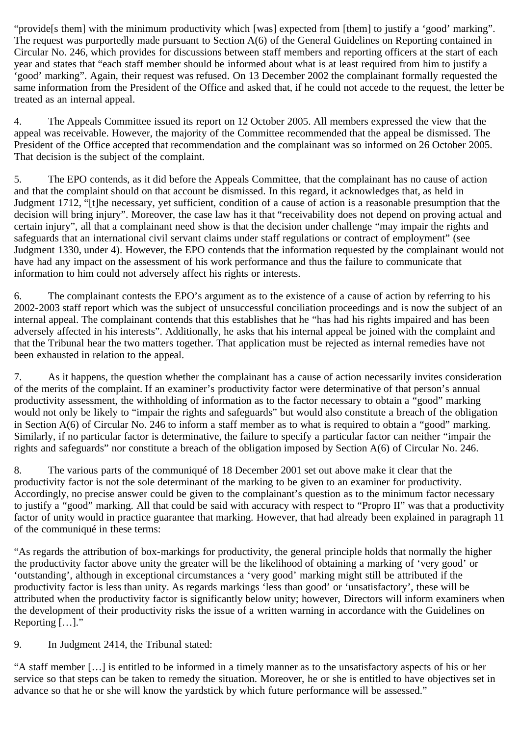"provide<sup>[s them]</sup> with the minimum productivity which [was] expected from [them] to justify a 'good' marking". The request was purportedly made pursuant to Section A(6) of the General Guidelines on Reporting contained in Circular No. 246, which provides for discussions between staff members and reporting officers at the start of each year and states that "each staff member should be informed about what is at least required from him to justify a 'good' marking". Again, their request was refused. On 13 December 2002 the complainant formally requested the same information from the President of the Office and asked that, if he could not accede to the request, the letter be treated as an internal appeal.

4. The Appeals Committee issued its report on 12 October 2005. All members expressed the view that the appeal was receivable. However, the majority of the Committee recommended that the appeal be dismissed. The President of the Office accepted that recommendation and the complainant was so informed on 26 October 2005. That decision is the subject of the complaint.

5. The EPO contends, as it did before the Appeals Committee, that the complainant has no cause of action and that the complaint should on that account be dismissed. In this regard, it acknowledges that, as held in Judgment 1712, "[t]he necessary, yet sufficient, condition of a cause of action is a reasonable presumption that the decision will bring injury". Moreover, the case law has it that "receivability does not depend on proving actual and certain injury", all that a complainant need show is that the decision under challenge "may impair the rights and safeguards that an international civil servant claims under staff regulations or contract of employment" (see Judgment 1330, under 4). However, the EPO contends that the information requested by the complainant would not have had any impact on the assessment of his work performance and thus the failure to communicate that information to him could not adversely affect his rights or interests.

6. The complainant contests the EPO's argument as to the existence of a cause of action by referring to his 2002-2003 staff report which was the subject of unsuccessful conciliation proceedings and is now the subject of an internal appeal. The complainant contends that this establishes that he "has had his rights impaired and has been adversely affected in his interests". Additionally, he asks that his internal appeal be joined with the complaint and that the Tribunal hear the two matters together. That application must be rejected as internal remedies have not been exhausted in relation to the appeal.

7. As it happens, the question whether the complainant has a cause of action necessarily invites consideration of the merits of the complaint. If an examiner's productivity factor were determinative of that person's annual productivity assessment, the withholding of information as to the factor necessary to obtain a "good" marking would not only be likely to "impair the rights and safeguards" but would also constitute a breach of the obligation in Section A(6) of Circular No. 246 to inform a staff member as to what is required to obtain a "good" marking. Similarly, if no particular factor is determinative, the failure to specify a particular factor can neither "impair the rights and safeguards" nor constitute a breach of the obligation imposed by Section A(6) of Circular No. 246.

8. The various parts of the communiqué of 18 December 2001 set out above make it clear that the productivity factor is not the sole determinant of the marking to be given to an examiner for productivity. Accordingly, no precise answer could be given to the complainant's question as to the minimum factor necessary to justify a "good" marking. All that could be said with accuracy with respect to "Propro II" was that a productivity factor of unity would in practice guarantee that marking. However, that had already been explained in paragraph 11 of the communiqué in these terms:

"As regards the attribution of box-markings for productivity, the general principle holds that normally the higher the productivity factor above unity the greater will be the likelihood of obtaining a marking of 'very good' or 'outstanding', although in exceptional circumstances a 'very good' marking might still be attributed if the productivity factor is less than unity. As regards markings 'less than good' or 'unsatisfactory', these will be attributed when the productivity factor is significantly below unity; however, Directors will inform examiners when the development of their productivity risks the issue of a written warning in accordance with the Guidelines on Reporting [...]."

9. In Judgment 2414, the Tribunal stated:

"A staff member […] is entitled to be informed in a timely manner as to the unsatisfactory aspects of his or her service so that steps can be taken to remedy the situation. Moreover, he or she is entitled to have objectives set in advance so that he or she will know the yardstick by which future performance will be assessed."